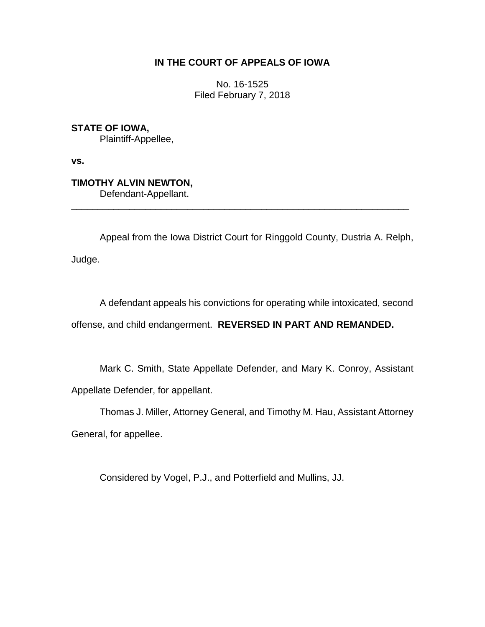## **IN THE COURT OF APPEALS OF IOWA**

No. 16-1525 Filed February 7, 2018

**STATE OF IOWA,** Plaintiff-Appellee,

**vs.**

**TIMOTHY ALVIN NEWTON,** Defendant-Appellant.

Appeal from the Iowa District Court for Ringgold County, Dustria A. Relph, Judge.

\_\_\_\_\_\_\_\_\_\_\_\_\_\_\_\_\_\_\_\_\_\_\_\_\_\_\_\_\_\_\_\_\_\_\_\_\_\_\_\_\_\_\_\_\_\_\_\_\_\_\_\_\_\_\_\_\_\_\_\_\_\_\_\_

A defendant appeals his convictions for operating while intoxicated, second

offense, and child endangerment. **REVERSED IN PART AND REMANDED.**

Mark C. Smith, State Appellate Defender, and Mary K. Conroy, Assistant Appellate Defender, for appellant.

Thomas J. Miller, Attorney General, and Timothy M. Hau, Assistant Attorney

General, for appellee.

Considered by Vogel, P.J., and Potterfield and Mullins, JJ.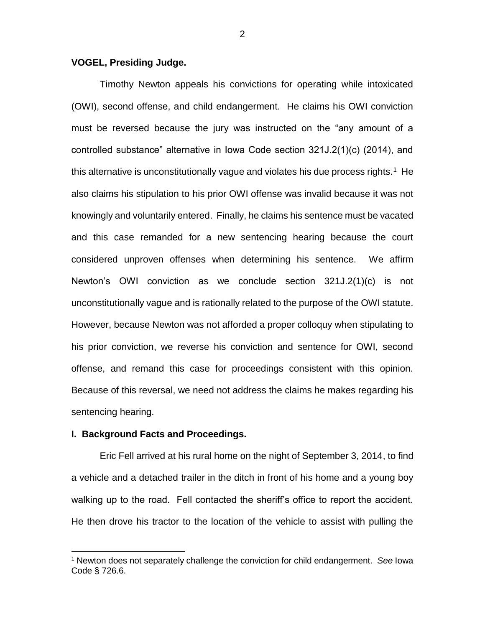### **VOGEL, Presiding Judge.**

Timothy Newton appeals his convictions for operating while intoxicated (OWI), second offense, and child endangerment. He claims his OWI conviction must be reversed because the jury was instructed on the "any amount of a controlled substance" alternative in Iowa Code section 321J.2(1)(c) (2014), and this alternative is unconstitutionally vague and violates his due process rights.<sup>1</sup> He also claims his stipulation to his prior OWI offense was invalid because it was not knowingly and voluntarily entered. Finally, he claims his sentence must be vacated and this case remanded for a new sentencing hearing because the court considered unproven offenses when determining his sentence. We affirm Newton's OWI conviction as we conclude section 321J.2(1)(c) is not unconstitutionally vague and is rationally related to the purpose of the OWI statute. However, because Newton was not afforded a proper colloquy when stipulating to his prior conviction, we reverse his conviction and sentence for OWI, second offense, and remand this case for proceedings consistent with this opinion. Because of this reversal, we need not address the claims he makes regarding his sentencing hearing.

#### **I. Background Facts and Proceedings.**

 $\overline{a}$ 

Eric Fell arrived at his rural home on the night of September 3, 2014, to find a vehicle and a detached trailer in the ditch in front of his home and a young boy walking up to the road. Fell contacted the sheriff's office to report the accident. He then drove his tractor to the location of the vehicle to assist with pulling the

<sup>1</sup> Newton does not separately challenge the conviction for child endangerment. *See* Iowa Code § 726.6.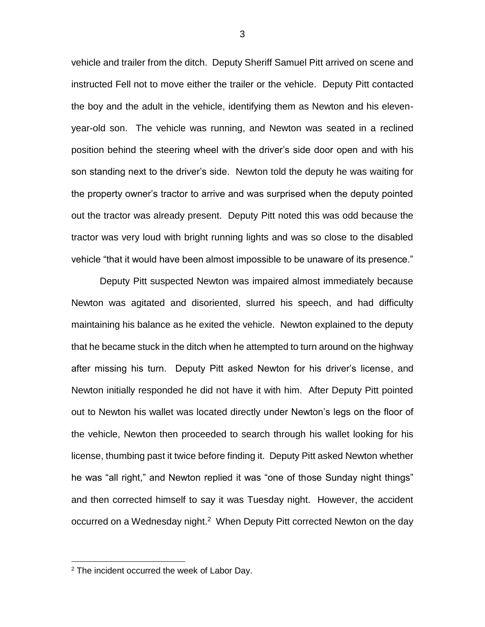vehicle and trailer from the ditch. Deputy Sheriff Samuel Pitt arrived on scene and instructed Fell not to move either the trailer or the vehicle. Deputy Pitt contacted the boy and the adult in the vehicle, identifying them as Newton and his elevenyear-old son. The vehicle was running, and Newton was seated in a reclined position behind the steering wheel with the driver's side door open and with his son standing next to the driver's side. Newton told the deputy he was waiting for the property owner's tractor to arrive and was surprised when the deputy pointed out the tractor was already present. Deputy Pitt noted this was odd because the tractor was very loud with bright running lights and was so close to the disabled vehicle "that it would have been almost impossible to be unaware of its presence."

Deputy Pitt suspected Newton was impaired almost immediately because Newton was agitated and disoriented, slurred his speech, and had difficulty maintaining his balance as he exited the vehicle. Newton explained to the deputy that he became stuck in the ditch when he attempted to turn around on the highway after missing his turn. Deputy Pitt asked Newton for his driver's license, and Newton initially responded he did not have it with him. After Deputy Pitt pointed out to Newton his wallet was located directly under Newton's legs on the floor of the vehicle, Newton then proceeded to search through his wallet looking for his license, thumbing past it twice before finding it. Deputy Pitt asked Newton whether he was "all right," and Newton replied it was "one of those Sunday night things" and then corrected himself to say it was Tuesday night. However, the accident occurred on a Wednesday night.<sup>2</sup> When Deputy Pitt corrected Newton on the day

 $\overline{a}$ 

 $2$  The incident occurred the week of Labor Day.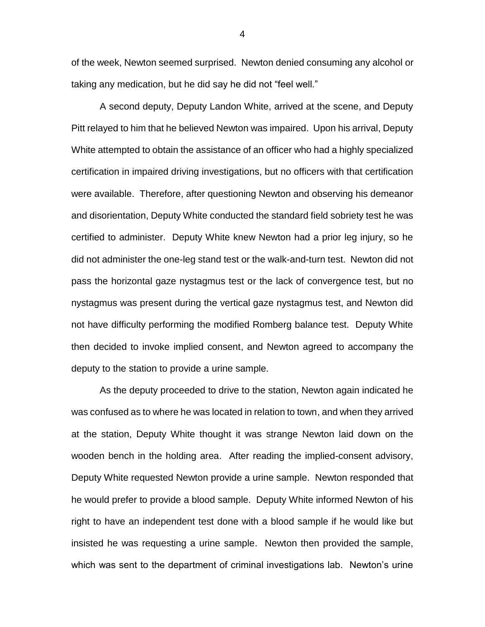of the week, Newton seemed surprised. Newton denied consuming any alcohol or taking any medication, but he did say he did not "feel well."

A second deputy, Deputy Landon White, arrived at the scene, and Deputy Pitt relayed to him that he believed Newton was impaired. Upon his arrival, Deputy White attempted to obtain the assistance of an officer who had a highly specialized certification in impaired driving investigations, but no officers with that certification were available. Therefore, after questioning Newton and observing his demeanor and disorientation, Deputy White conducted the standard field sobriety test he was certified to administer. Deputy White knew Newton had a prior leg injury, so he did not administer the one-leg stand test or the walk-and-turn test. Newton did not pass the horizontal gaze nystagmus test or the lack of convergence test, but no nystagmus was present during the vertical gaze nystagmus test, and Newton did not have difficulty performing the modified Romberg balance test. Deputy White then decided to invoke implied consent, and Newton agreed to accompany the deputy to the station to provide a urine sample.

As the deputy proceeded to drive to the station, Newton again indicated he was confused as to where he was located in relation to town, and when they arrived at the station, Deputy White thought it was strange Newton laid down on the wooden bench in the holding area. After reading the implied-consent advisory, Deputy White requested Newton provide a urine sample. Newton responded that he would prefer to provide a blood sample. Deputy White informed Newton of his right to have an independent test done with a blood sample if he would like but insisted he was requesting a urine sample. Newton then provided the sample, which was sent to the department of criminal investigations lab. Newton's urine

4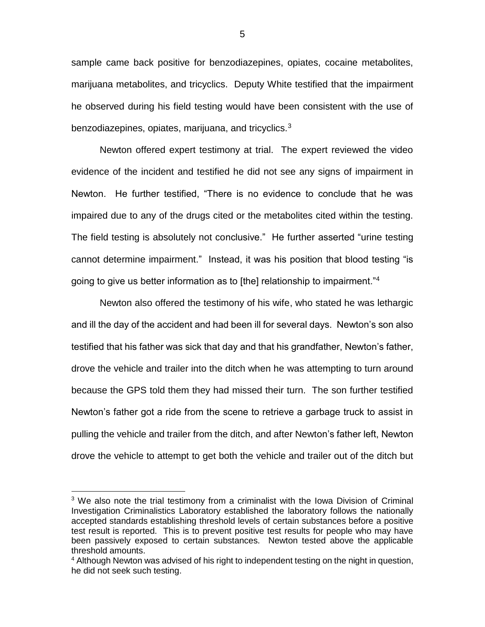sample came back positive for benzodiazepines, opiates, cocaine metabolites, marijuana metabolites, and tricyclics. Deputy White testified that the impairment he observed during his field testing would have been consistent with the use of benzodiazepines, opiates, marijuana, and tricyclics.<sup>3</sup>

Newton offered expert testimony at trial. The expert reviewed the video evidence of the incident and testified he did not see any signs of impairment in Newton. He further testified, "There is no evidence to conclude that he was impaired due to any of the drugs cited or the metabolites cited within the testing. The field testing is absolutely not conclusive." He further asserted "urine testing cannot determine impairment." Instead, it was his position that blood testing "is going to give us better information as to [the] relationship to impairment."<sup>4</sup>

Newton also offered the testimony of his wife, who stated he was lethargic and ill the day of the accident and had been ill for several days. Newton's son also testified that his father was sick that day and that his grandfather, Newton's father, drove the vehicle and trailer into the ditch when he was attempting to turn around because the GPS told them they had missed their turn. The son further testified Newton's father got a ride from the scene to retrieve a garbage truck to assist in pulling the vehicle and trailer from the ditch, and after Newton's father left, Newton drove the vehicle to attempt to get both the vehicle and trailer out of the ditch but

 $\overline{a}$ 

5

<sup>&</sup>lt;sup>3</sup> We also note the trial testimony from a criminalist with the Iowa Division of Criminal Investigation Criminalistics Laboratory established the laboratory follows the nationally accepted standards establishing threshold levels of certain substances before a positive test result is reported. This is to prevent positive test results for people who may have been passively exposed to certain substances. Newton tested above the applicable threshold amounts.

<sup>&</sup>lt;sup>4</sup> Although Newton was advised of his right to independent testing on the night in question, he did not seek such testing.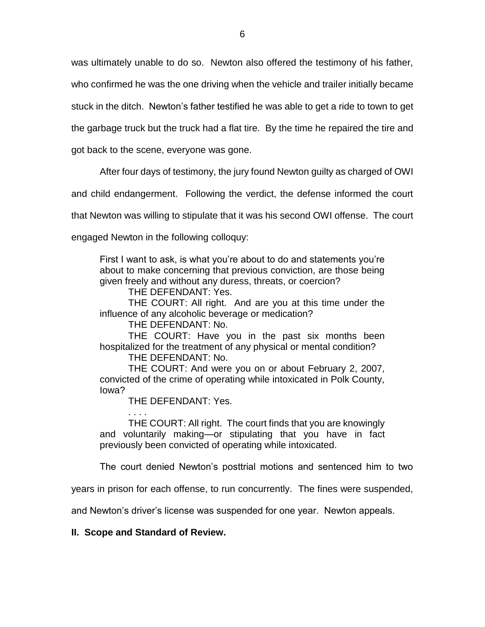was ultimately unable to do so. Newton also offered the testimony of his father, who confirmed he was the one driving when the vehicle and trailer initially became stuck in the ditch. Newton's father testified he was able to get a ride to town to get the garbage truck but the truck had a flat tire. By the time he repaired the tire and

got back to the scene, everyone was gone.

After four days of testimony, the jury found Newton guilty as charged of OWI

and child endangerment. Following the verdict, the defense informed the court

that Newton was willing to stipulate that it was his second OWI offense. The court

engaged Newton in the following colloquy:

First I want to ask, is what you're about to do and statements you're about to make concerning that previous conviction, are those being given freely and without any duress, threats, or coercion?

THE DEFENDANT: Yes.

THE COURT: All right. And are you at this time under the influence of any alcoholic beverage or medication?

THE DEFENDANT: No.

THE COURT: Have you in the past six months been hospitalized for the treatment of any physical or mental condition?

THE DEFENDANT: No.

THE COURT: And were you on or about February 2, 2007, convicted of the crime of operating while intoxicated in Polk County, Iowa?

THE DEFENDANT: Yes.

. . . . THE COURT: All right. The court finds that you are knowingly and voluntarily making—or stipulating that you have in fact previously been convicted of operating while intoxicated.

The court denied Newton's posttrial motions and sentenced him to two

years in prison for each offense, to run concurrently. The fines were suspended,

and Newton's driver's license was suspended for one year. Newton appeals.

**II. Scope and Standard of Review.**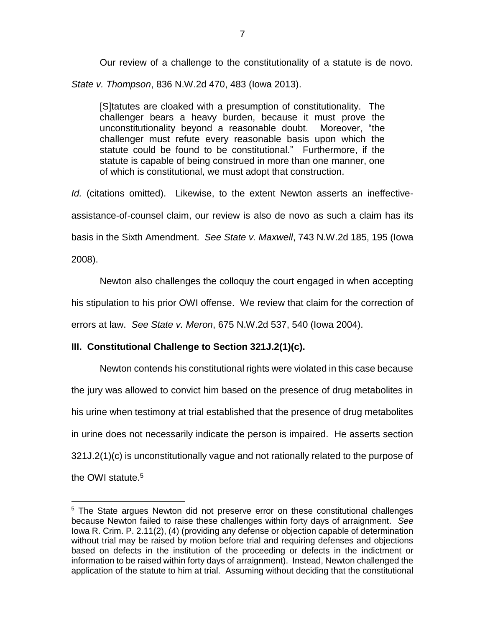Our review of a challenge to the constitutionality of a statute is de novo. *State v. Thompson*, 836 N.W.2d 470, 483 (Iowa 2013).

[S]tatutes are cloaked with a presumption of constitutionality. The challenger bears a heavy burden, because it must prove the unconstitutionality beyond a reasonable doubt. Moreover, "the challenger must refute every reasonable basis upon which the statute could be found to be constitutional." Furthermore, if the statute is capable of being construed in more than one manner, one of which is constitutional, we must adopt that construction.

*Id.* (citations omitted). Likewise, to the extent Newton asserts an ineffectiveassistance-of-counsel claim, our review is also de novo as such a claim has its basis in the Sixth Amendment. *See State v. Maxwell*, 743 N.W.2d 185, 195 (Iowa 2008).

Newton also challenges the colloquy the court engaged in when accepting his stipulation to his prior OWI offense. We review that claim for the correction of errors at law. *See State v. Meron*, 675 N.W.2d 537, 540 (Iowa 2004).

# **III. Constitutional Challenge to Section 321J.2(1)(c).**

 $\overline{a}$ 

Newton contends his constitutional rights were violated in this case because the jury was allowed to convict him based on the presence of drug metabolites in his urine when testimony at trial established that the presence of drug metabolites in urine does not necessarily indicate the person is impaired. He asserts section 321J.2(1)(c) is unconstitutionally vague and not rationally related to the purpose of the OWI statute.<sup>5</sup>

<sup>&</sup>lt;sup>5</sup> The State argues Newton did not preserve error on these constitutional challenges because Newton failed to raise these challenges within forty days of arraignment. *See*  Iowa R. Crim. P. 2.11(2), (4) (providing any defense or objection capable of determination without trial may be raised by motion before trial and requiring defenses and objections based on defects in the institution of the proceeding or defects in the indictment or information to be raised within forty days of arraignment). Instead, Newton challenged the application of the statute to him at trial. Assuming without deciding that the constitutional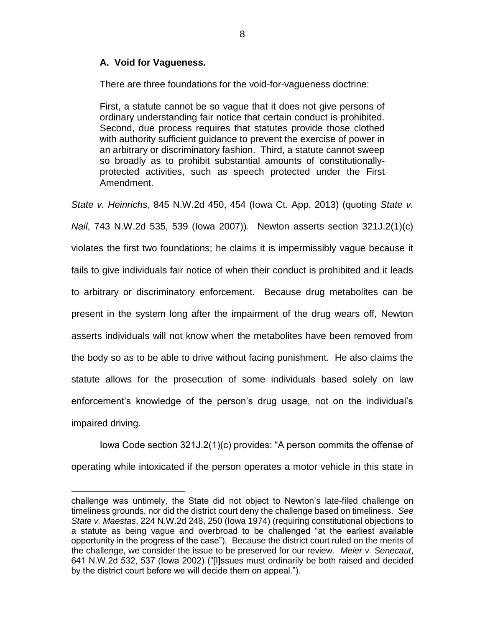## **A. Void for Vagueness.**

 $\overline{a}$ 

There are three foundations for the void-for-vagueness doctrine:

First, a statute cannot be so vague that it does not give persons of ordinary understanding fair notice that certain conduct is prohibited. Second, due process requires that statutes provide those clothed with authority sufficient guidance to prevent the exercise of power in an arbitrary or discriminatory fashion. Third, a statute cannot sweep so broadly as to prohibit substantial amounts of constitutionallyprotected activities, such as speech protected under the First Amendment.

*State v. Heinrichs*, 845 N.W.2d 450, 454 (Iowa Ct. App. 2013) (quoting *State v.* 

*Nail*, 743 N.W.2d 535, 539 (Iowa 2007)). Newton asserts section 321J.2(1)(c)

violates the first two foundations; he claims it is impermissibly vague because it fails to give individuals fair notice of when their conduct is prohibited and it leads to arbitrary or discriminatory enforcement. Because drug metabolites can be present in the system long after the impairment of the drug wears off, Newton asserts individuals will not know when the metabolites have been removed from the body so as to be able to drive without facing punishment. He also claims the statute allows for the prosecution of some individuals based solely on law enforcement's knowledge of the person's drug usage, not on the individual's impaired driving.

Iowa Code section 321J.2(1)(c) provides: "A person commits the offense of operating while intoxicated if the person operates a motor vehicle in this state in

challenge was untimely, the State did not object to Newton's late-filed challenge on timeliness grounds, nor did the district court deny the challenge based on timeliness. *See State v. Maestas*, 224 N.W.2d 248, 250 (Iowa 1974) (requiring constitutional objections to a statute as being vague and overbroad to be challenged "at the earliest available opportunity in the progress of the case"). Because the district court ruled on the merits of the challenge, we consider the issue to be preserved for our review. *Meier v. Senecaut*, 641 N.W.2d 532, 537 (Iowa 2002) ("[I]ssues must ordinarily be both raised and decided by the district court before we will decide them on appeal.").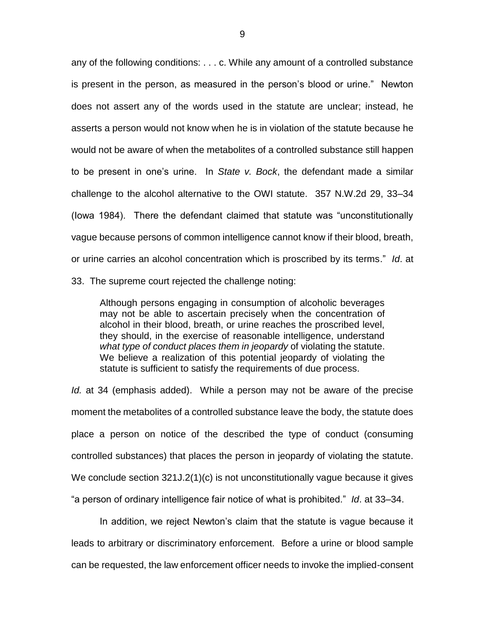any of the following conditions: . . . c. While any amount of a controlled substance is present in the person, as measured in the person's blood or urine." Newton does not assert any of the words used in the statute are unclear; instead, he asserts a person would not know when he is in violation of the statute because he would not be aware of when the metabolites of a controlled substance still happen to be present in one's urine. In *State v. Bock*, the defendant made a similar challenge to the alcohol alternative to the OWI statute. 357 N.W.2d 29, 33–34 (Iowa 1984). There the defendant claimed that statute was "unconstitutionally vague because persons of common intelligence cannot know if their blood, breath, or urine carries an alcohol concentration which is proscribed by its terms." *Id*. at 33. The supreme court rejected the challenge noting:

Although persons engaging in consumption of alcoholic beverages may not be able to ascertain precisely when the concentration of alcohol in their blood, breath, or urine reaches the proscribed level, they should, in the exercise of reasonable intelligence, understand *what type of conduct places them in jeopardy* of violating the statute. We believe a realization of this potential jeopardy of violating the statute is sufficient to satisfy the requirements of due process.

*Id.* at 34 (emphasis added). While a person may not be aware of the precise moment the metabolites of a controlled substance leave the body, the statute does place a person on notice of the described the type of conduct (consuming controlled substances) that places the person in jeopardy of violating the statute. We conclude section 321J.2(1)(c) is not unconstitutionally vague because it gives "a person of ordinary intelligence fair notice of what is prohibited." *Id*. at 33–34.

In addition, we reject Newton's claim that the statute is vague because it leads to arbitrary or discriminatory enforcement. Before a urine or blood sample can be requested, the law enforcement officer needs to invoke the implied-consent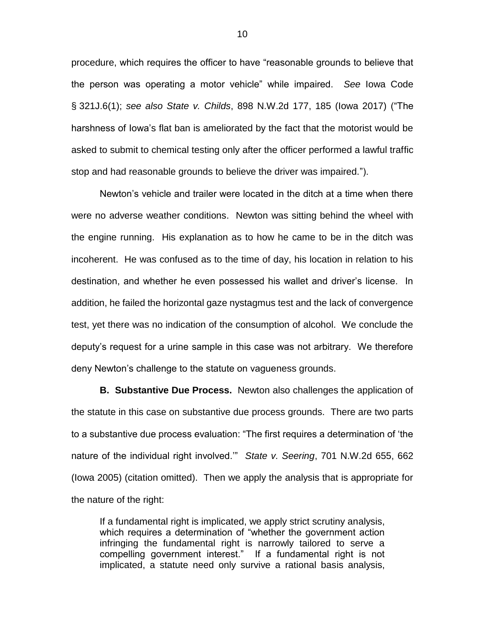procedure, which requires the officer to have "reasonable grounds to believe that the person was operating a motor vehicle" while impaired. *See* Iowa Code § 321J.6(1); *see also State v. Childs*, 898 N.W.2d 177, 185 (Iowa 2017) ("The harshness of Iowa's flat ban is ameliorated by the fact that the motorist would be asked to submit to chemical testing only after the officer performed a lawful traffic stop and had reasonable grounds to believe the driver was impaired.").

Newton's vehicle and trailer were located in the ditch at a time when there were no adverse weather conditions. Newton was sitting behind the wheel with the engine running. His explanation as to how he came to be in the ditch was incoherent. He was confused as to the time of day, his location in relation to his destination, and whether he even possessed his wallet and driver's license. In addition, he failed the horizontal gaze nystagmus test and the lack of convergence test, yet there was no indication of the consumption of alcohol. We conclude the deputy's request for a urine sample in this case was not arbitrary. We therefore deny Newton's challenge to the statute on vagueness grounds.

**B. Substantive Due Process.** Newton also challenges the application of the statute in this case on substantive due process grounds. There are two parts to a substantive due process evaluation: "The first requires a determination of 'the nature of the individual right involved.'" *State v. Seering*, 701 N.W.2d 655, 662 (Iowa 2005) (citation omitted). Then we apply the analysis that is appropriate for the nature of the right:

If a fundamental right is implicated, we apply strict scrutiny analysis, which requires a determination of "whether the government action infringing the fundamental right is narrowly tailored to serve a compelling government interest." If a fundamental right is not implicated, a statute need only survive a rational basis analysis,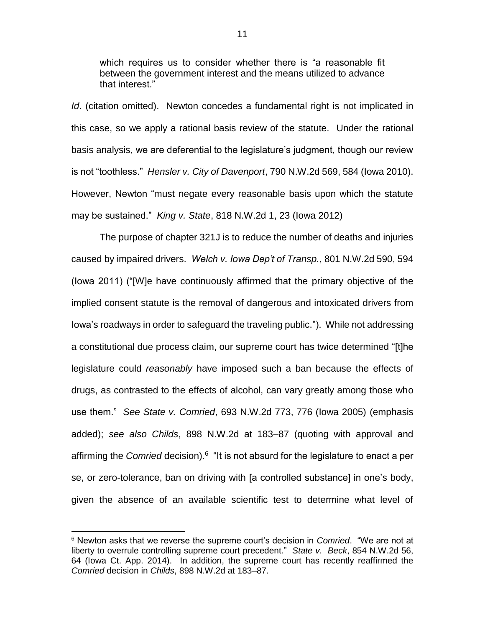which requires us to consider whether there is "a reasonable fit between the government interest and the means utilized to advance that interest."

*Id.* (citation omitted). Newton concedes a fundamental right is not implicated in this case, so we apply a rational basis review of the statute. Under the rational basis analysis, we are deferential to the legislature's judgment, though our review is not "toothless." *Hensler v. City of Davenport*, 790 N.W.2d 569, 584 (Iowa 2010). However, Newton "must negate every reasonable basis upon which the statute may be sustained." *King v. State*, 818 N.W.2d 1, 23 (Iowa 2012)

The purpose of chapter 321J is to reduce the number of deaths and injuries caused by impaired drivers. *Welch v. Iowa Dep't of Transp.*, 801 N.W.2d 590, 594 (Iowa 2011) ("[W]e have continuously affirmed that the primary objective of the implied consent statute is the removal of dangerous and intoxicated drivers from Iowa's roadways in order to safeguard the traveling public."). While not addressing a constitutional due process claim, our supreme court has twice determined "[t]he legislature could *reasonably* have imposed such a ban because the effects of drugs, as contrasted to the effects of alcohol, can vary greatly among those who use them." *See State v. Comried*, 693 N.W.2d 773, 776 (Iowa 2005) (emphasis added); *see also Childs*, 898 N.W.2d at 183–87 (quoting with approval and affirming the *Comried* decision).<sup>6</sup> "It is not absurd for the legislature to enact a per se, or zero-tolerance, ban on driving with [a controlled substance] in one's body, given the absence of an available scientific test to determine what level of

 $\overline{a}$ 

<sup>6</sup> Newton asks that we reverse the supreme court's decision in *Comried*. "We are not at liberty to overrule controlling supreme court precedent." *State v. Beck*, 854 N.W.2d 56, 64 (Iowa Ct. App. 2014). In addition, the supreme court has recently reaffirmed the *Comried* decision in *Childs*, 898 N.W.2d at 183–87.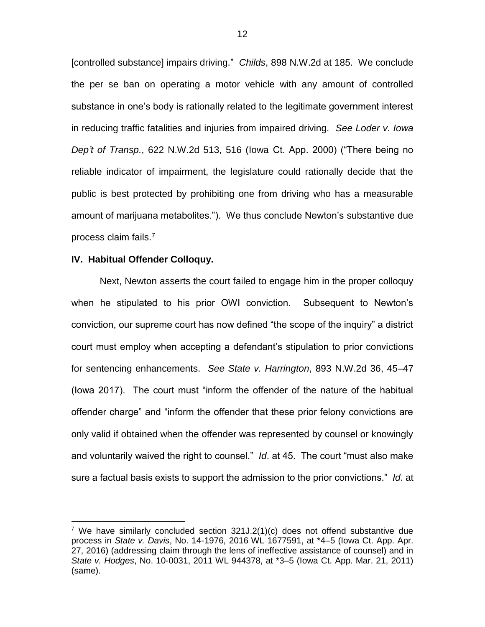[controlled substance] impairs driving." *Childs*, 898 N.W.2d at 185. We conclude the per se ban on operating a motor vehicle with any amount of controlled substance in one's body is rationally related to the legitimate government interest in reducing traffic fatalities and injuries from impaired driving. *See Loder v. Iowa Dep't of Transp.*, 622 N.W.2d 513, 516 (Iowa Ct. App. 2000) ("There being no reliable indicator of impairment, the legislature could rationally decide that the public is best protected by prohibiting one from driving who has a measurable amount of marijuana metabolites."). We thus conclude Newton's substantive due process claim fails.<sup>7</sup>

#### **IV. Habitual Offender Colloquy.**

 $\overline{a}$ 

Next, Newton asserts the court failed to engage him in the proper colloquy when he stipulated to his prior OWI conviction. Subsequent to Newton's conviction, our supreme court has now defined "the scope of the inquiry" a district court must employ when accepting a defendant's stipulation to prior convictions for sentencing enhancements. *See State v. Harrington*, 893 N.W.2d 36, 45–47 (Iowa 2017). The court must "inform the offender of the nature of the habitual offender charge" and "inform the offender that these prior felony convictions are only valid if obtained when the offender was represented by counsel or knowingly and voluntarily waived the right to counsel." *Id*. at 45. The court "must also make sure a factual basis exists to support the admission to the prior convictions." *Id*. at

<sup>&</sup>lt;sup>7</sup> We have similarly concluded section  $321J.2(1)(c)$  does not offend substantive due process in *State v. Davis*, No. 14-1976, 2016 WL 1677591, at \*4–5 (Iowa Ct. App. Apr. 27, 2016) (addressing claim through the lens of ineffective assistance of counsel) and in *State v. Hodges*, No. 10-0031, 2011 WL 944378, at \*3–5 (Iowa Ct. App. Mar. 21, 2011) (same).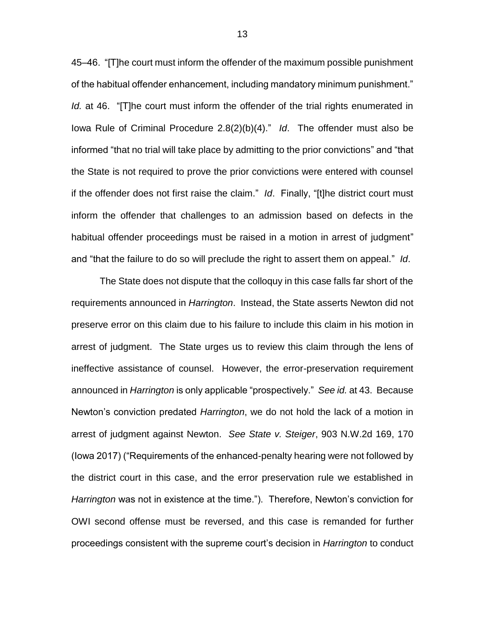45–46. "[T]he court must inform the offender of the maximum possible punishment of the habitual offender enhancement, including mandatory minimum punishment." *Id.* at 46. "[T]he court must inform the offender of the trial rights enumerated in Iowa Rule of Criminal Procedure 2.8(2)(b)(4)." *Id*. The offender must also be informed "that no trial will take place by admitting to the prior convictions" and "that the State is not required to prove the prior convictions were entered with counsel if the offender does not first raise the claim." *Id*. Finally, "[t]he district court must inform the offender that challenges to an admission based on defects in the habitual offender proceedings must be raised in a motion in arrest of judgment" and "that the failure to do so will preclude the right to assert them on appeal." *Id*.

The State does not dispute that the colloquy in this case falls far short of the requirements announced in *Harrington*. Instead, the State asserts Newton did not preserve error on this claim due to his failure to include this claim in his motion in arrest of judgment. The State urges us to review this claim through the lens of ineffective assistance of counsel. However, the error-preservation requirement announced in *Harrington* is only applicable "prospectively." *See id.* at 43. Because Newton's conviction predated *Harrington*, we do not hold the lack of a motion in arrest of judgment against Newton. *See State v. Steiger*, 903 N.W.2d 169, 170 (Iowa 2017) ("Requirements of the enhanced-penalty hearing were not followed by the district court in this case, and the error preservation rule we established in *Harrington* was not in existence at the time."). Therefore, Newton's conviction for OWI second offense must be reversed, and this case is remanded for further proceedings consistent with the supreme court's decision in *Harrington* to conduct